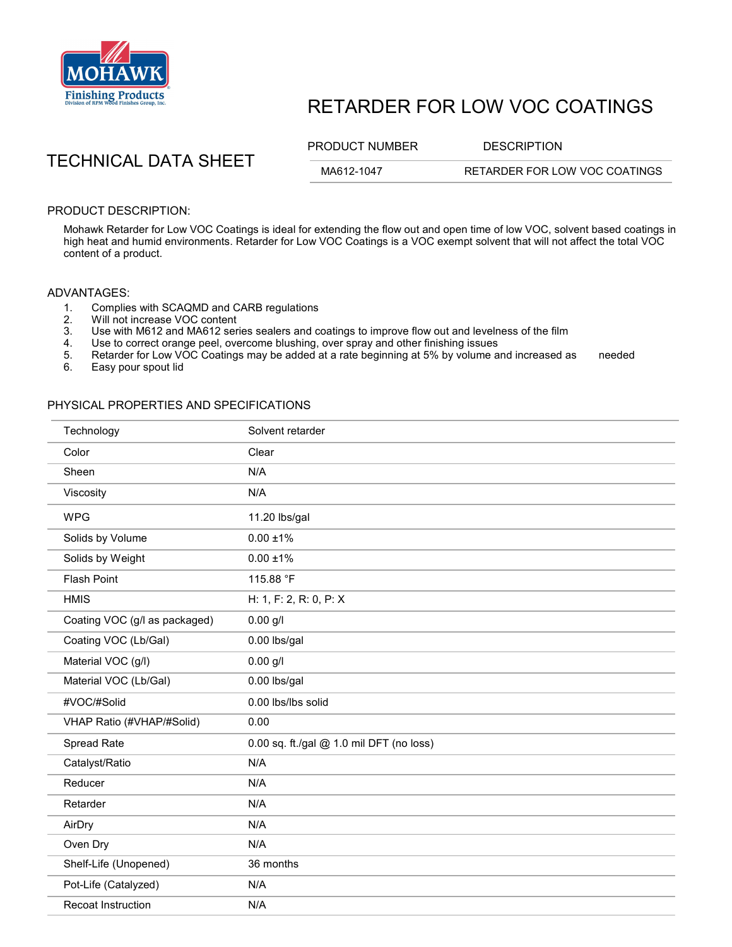

## RETARDER FOR LOW VOC COATINGS

PRODUCT NUMBER DESCRIPTION

TECHNICAL DATA SHEET

MA612-1047 RETARDER FOR LOW VOC COATINGS

PRODUCT DESCRIPTION:

Mohawk Retarder for Low VOC Coatings is ideal for extending the flow out and open time of low VOC, solvent based coatings in high heat and humid environments. Retarder for Low VOC Coatings is a VOC exempt solvent that will not affect the total VOC content of a product.

## ADVANTAGES:

- 1. Complies with SCAQMD and CARB regulations<br>2. Will not increase VOC content
- 2. Will not increase VOC content<br>3. Use with M612 and MA612 ser
- Use with M612 and MA612 series sealers and coatings to improve flow out and levelness of the film
- 4. Use to correct orange peel, overcome blushing, over spray and other finishing issues<br>5. Retarder for Low VOC Coatings may be added at a rate beginning at 5% by volume a
- 5. Retarder for Low VOC Coatings may be added at a rate beginning at 5% by volume and increased as needed<br>6. Easy pour spout lid
- Easy pour spout lid

## PHYSICAL PROPERTIES AND SPECIFICATIONS

| Technology                    | Solvent retarder                         |
|-------------------------------|------------------------------------------|
| Color                         | Clear                                    |
| Sheen                         | N/A                                      |
| Viscosity                     | N/A                                      |
| <b>WPG</b>                    | 11.20 lbs/gal                            |
| Solids by Volume              | $0.00 + 1\%$                             |
| Solids by Weight              | $0.00 \pm 1\%$                           |
| <b>Flash Point</b>            | 115.88 °F                                |
| <b>HMIS</b>                   | H: 1, F: 2, R: 0, P: X                   |
| Coating VOC (g/l as packaged) | $0.00$ g/l                               |
| Coating VOC (Lb/Gal)          | 0.00 lbs/gal                             |
| Material VOC (g/l)            | $0.00$ g/l                               |
| Material VOC (Lb/Gal)         | 0.00 lbs/gal                             |
| #VOC/#Solid                   | 0.00 lbs/lbs solid                       |
| VHAP Ratio (#VHAP/#Solid)     | 0.00                                     |
| Spread Rate                   | 0.00 sq. ft./gal @ 1.0 mil DFT (no loss) |
| Catalyst/Ratio                | N/A                                      |
| Reducer                       | N/A                                      |
| Retarder                      | N/A                                      |
| AirDry                        | N/A                                      |
| Oven Dry                      | N/A                                      |
| Shelf-Life (Unopened)         | 36 months                                |
| Pot-Life (Catalyzed)          | N/A                                      |
| <b>Recoat Instruction</b>     | N/A                                      |